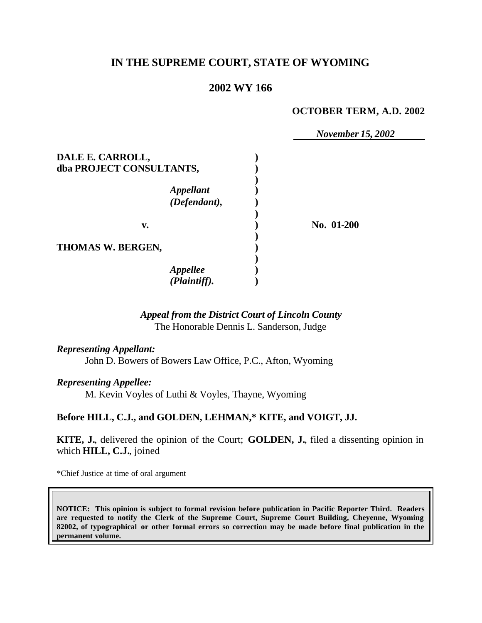## **IN THE SUPREME COURT, STATE OF WYOMING**

### **2002 WY 166**

#### **OCTOBER TERM, A.D. 2002**

|                                  | <b>November 15, 2002</b> |
|----------------------------------|--------------------------|
| DALE E. CARROLL,                 |                          |
| dba PROJECT CONSULTANTS,         |                          |
| <b>Appellant</b><br>(Defendant), |                          |
| v.                               | No. 01-200               |
| THOMAS W. BERGEN,                |                          |
| <b>Appellee</b><br>(Plaintiff).  |                          |

# *Appeal from the District Court of Lincoln County*

The Honorable Dennis L. Sanderson, Judge

*Representing Appellant:* John D. Bowers of Bowers Law Office, P.C., Afton, Wyoming

*Representing Appellee:*

M. Kevin Voyles of Luthi & Voyles, Thayne, Wyoming

**Before HILL, C.J., and GOLDEN, LEHMAN,\* KITE, and VOIGT, JJ.**

**KITE, J.**, delivered the opinion of the Court; **GOLDEN, J.**, filed a dissenting opinion in which **HILL, C.J.**, joined

\*Chief Justice at time of oral argument

**NOTICE: This opinion is subject to formal revision before publication in Pacific Reporter Third. Readers are requested to notify the Clerk of the Supreme Court, Supreme Court Building, Cheyenne, Wyoming 82002, of typographical or other formal errors so correction may be made before final publication in the permanent volume.**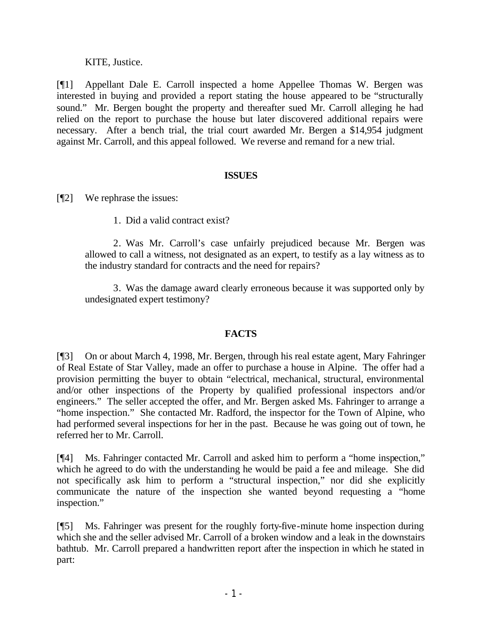KITE, Justice.

[¶1] Appellant Dale E. Carroll inspected a home Appellee Thomas W. Bergen was interested in buying and provided a report stating the house appeared to be "structurally sound." Mr. Bergen bought the property and thereafter sued Mr. Carroll alleging he had relied on the report to purchase the house but later discovered additional repairs were necessary. After a bench trial, the trial court awarded Mr. Bergen a \$14,954 judgment against Mr. Carroll, and this appeal followed. We reverse and remand for a new trial.

#### **ISSUES**

[¶2] We rephrase the issues:

1. Did a valid contract exist?

2. Was Mr. Carroll's case unfairly prejudiced because Mr. Bergen was allowed to call a witness, not designated as an expert, to testify as a lay witness as to the industry standard for contracts and the need for repairs?

3. Was the damage award clearly erroneous because it was supported only by undesignated expert testimony?

### **FACTS**

[¶3] On or about March 4, 1998, Mr. Bergen, through his real estate agent, Mary Fahringer of Real Estate of Star Valley, made an offer to purchase a house in Alpine. The offer had a provision permitting the buyer to obtain "electrical, mechanical, structural, environmental and/or other inspections of the Property by qualified professional inspectors and/or engineers." The seller accepted the offer, and Mr. Bergen asked Ms. Fahringer to arrange a "home inspection." She contacted Mr. Radford, the inspector for the Town of Alpine, who had performed several inspections for her in the past. Because he was going out of town, he referred her to Mr. Carroll.

[¶4] Ms. Fahringer contacted Mr. Carroll and asked him to perform a "home inspection," which he agreed to do with the understanding he would be paid a fee and mileage. She did not specifically ask him to perform a "structural inspection," nor did she explicitly communicate the nature of the inspection she wanted beyond requesting a "home inspection."

[¶5] Ms. Fahringer was present for the roughly forty-five-minute home inspection during which she and the seller advised Mr. Carroll of a broken window and a leak in the downstairs bathtub. Mr. Carroll prepared a handwritten report after the inspection in which he stated in part: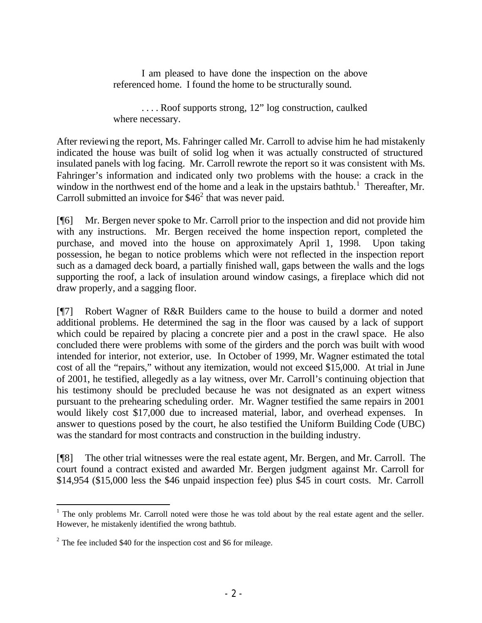I am pleased to have done the inspection on the above referenced home. I found the home to be structurally sound.

. . . . Roof supports strong, 12" log construction, caulked where necessary.

After reviewing the report, Ms. Fahringer called Mr. Carroll to advise him he had mistakenly indicated the house was built of solid log when it was actually constructed of structured insulated panels with log facing. Mr. Carroll rewrote the report so it was consistent with Ms. Fahringer's information and indicated only two problems with the house: a crack in the window in the northwest end of the home and a leak in the upstairs bathtub.<sup>1</sup> Thereafter, Mr. Carroll submitted an invoice for  $$46<sup>2</sup>$  that was never paid.

[¶6] Mr. Bergen never spoke to Mr. Carroll prior to the inspection and did not provide him with any instructions. Mr. Bergen received the home inspection report, completed the purchase, and moved into the house on approximately April 1, 1998. Upon taking possession, he began to notice problems which were not reflected in the inspection report such as a damaged deck board, a partially finished wall, gaps between the walls and the logs supporting the roof, a lack of insulation around window casings, a fireplace which did not draw properly, and a sagging floor.

[¶7] Robert Wagner of R&R Builders came to the house to build a dormer and noted additional problems. He determined the sag in the floor was caused by a lack of support which could be repaired by placing a concrete pier and a post in the crawl space. He also concluded there were problems with some of the girders and the porch was built with wood intended for interior, not exterior, use. In October of 1999, Mr. Wagner estimated the total cost of all the "repairs," without any itemization, would not exceed \$15,000. At trial in June of 2001, he testified, allegedly as a lay witness, over Mr. Carroll's continuing objection that his testimony should be precluded because he was not designated as an expert witness pursuant to the prehearing scheduling order. Mr. Wagner testified the same repairs in 2001 would likely cost \$17,000 due to increased material, labor, and overhead expenses. In answer to questions posed by the court, he also testified the Uniform Building Code (UBC) was the standard for most contracts and construction in the building industry.

[¶8] The other trial witnesses were the real estate agent, Mr. Bergen, and Mr. Carroll. The court found a contract existed and awarded Mr. Bergen judgment against Mr. Carroll for \$14,954 (\$15,000 less the \$46 unpaid inspection fee) plus \$45 in court costs. Mr. Carroll

 $1$  The only problems Mr. Carroll noted were those he was told about by the real estate agent and the seller. However, he mistakenly identified the wrong bathtub.

 $2^2$  The fee included \$40 for the inspection cost and \$6 for mileage.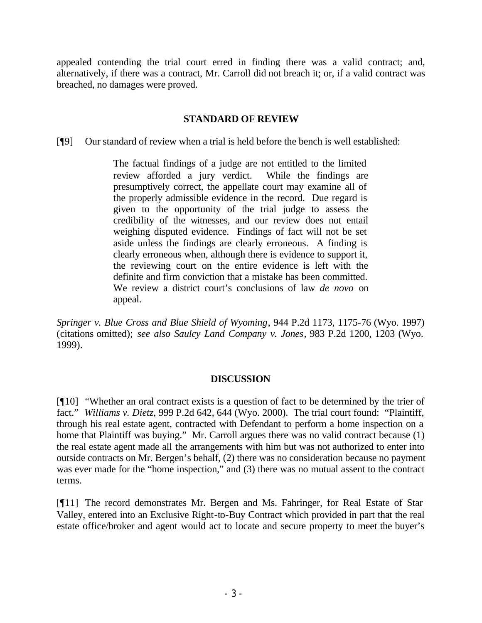appealed contending the trial court erred in finding there was a valid contract; and, alternatively, if there was a contract, Mr. Carroll did not breach it; or, if a valid contract was breached, no damages were proved.

#### **STANDARD OF REVIEW**

[¶9] Our standard of review when a trial is held before the bench is well established:

The factual findings of a judge are not entitled to the limited review afforded a jury verdict. While the findings are presumptively correct, the appellate court may examine all of the properly admissible evidence in the record. Due regard is given to the opportunity of the trial judge to assess the credibility of the witnesses, and our review does not entail weighing disputed evidence. Findings of fact will not be set aside unless the findings are clearly erroneous. A finding is clearly erroneous when, although there is evidence to support it, the reviewing court on the entire evidence is left with the definite and firm conviction that a mistake has been committed. We review a district court's conclusions of law *de novo* on appeal.

*Springer v. Blue Cross and Blue Shield of Wyoming*, 944 P.2d 1173, 1175-76 (Wyo. 1997) (citations omitted); *see also Saulcy Land Company v. Jones*, 983 P.2d 1200, 1203 (Wyo. 1999).

#### **DISCUSSION**

[¶10] "Whether an oral contract exists is a question of fact to be determined by the trier of fact." *Williams v. Dietz*, 999 P.2d 642, 644 (Wyo. 2000). The trial court found: "Plaintiff, through his real estate agent, contracted with Defendant to perform a home inspection on a home that Plaintiff was buying." Mr. Carroll argues there was no valid contract because (1) the real estate agent made all the arrangements with him but was not authorized to enter into outside contracts on Mr. Bergen's behalf, (2) there was no consideration because no payment was ever made for the "home inspection," and (3) there was no mutual assent to the contract terms.

[¶11] The record demonstrates Mr. Bergen and Ms. Fahringer, for Real Estate of Star Valley, entered into an Exclusive Right-to-Buy Contract which provided in part that the real estate office/broker and agent would act to locate and secure property to meet the buyer's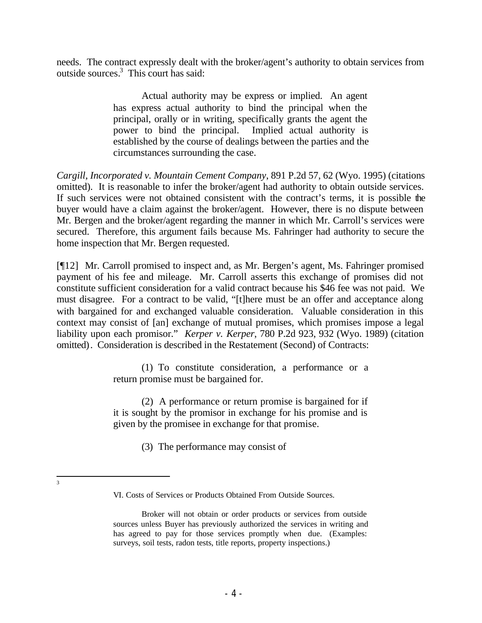needs. The contract expressly dealt with the broker/agent's authority to obtain services from outside sources.<sup>3</sup> This court has said:

> Actual authority may be express or implied. An agent has express actual authority to bind the principal when the principal, orally or in writing, specifically grants the agent the power to bind the principal. Implied actual authority is established by the course of dealings between the parties and the circumstances surrounding the case.

*Cargill, Incorporated v. Mountain Cement Company*, 891 P.2d 57, 62 (Wyo. 1995) (citations omitted). It is reasonable to infer the broker/agent had authority to obtain outside services. If such services were not obtained consistent with the contract's terms, it is possible the buyer would have a claim against the broker/agent. However, there is no dispute between Mr. Bergen and the broker/agent regarding the manner in which Mr. Carroll's services were secured. Therefore, this argument fails because Ms. Fahringer had authority to secure the home inspection that Mr. Bergen requested.

[¶12] Mr. Carroll promised to inspect and, as Mr. Bergen's agent, Ms. Fahringer promised payment of his fee and mileage. Mr. Carroll asserts this exchange of promises did not constitute sufficient consideration for a valid contract because his \$46 fee was not paid. We must disagree. For a contract to be valid, "[t]here must be an offer and acceptance along with bargained for and exchanged valuable consideration. Valuable consideration in this context may consist of [an] exchange of mutual promises, which promises impose a legal liability upon each promisor." *Kerper v. Kerper*, 780 P.2d 923, 932 (Wyo. 1989) (citation omitted). Consideration is described in the Restatement (Second) of Contracts:

> (1) To constitute consideration, a performance or a return promise must be bargained for.

> (2) A performance or return promise is bargained for if it is sought by the promisor in exchange for his promise and is given by the promisee in exchange for that promise.

> > (3) The performance may consist of

<sup>2</sup><br>3

VI. Costs of Services or Products Obtained From Outside Sources.

Broker will not obtain or order products or services from outside sources unless Buyer has previously authorized the services in writing and has agreed to pay for those services promptly when due. (Examples: surveys, soil tests, radon tests, title reports, property inspections.)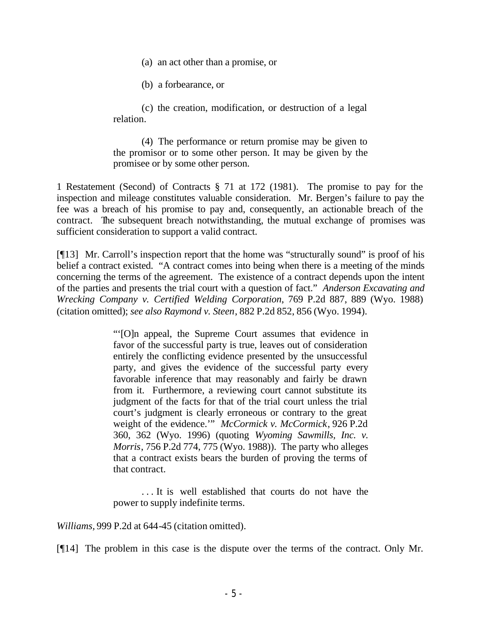(a) an act other than a promise, or

(b) a forbearance, or

(c) the creation, modification, or destruction of a legal relation.

(4) The performance or return promise may be given to the promisor or to some other person. It may be given by the promisee or by some other person.

1 Restatement (Second) of Contracts § 71 at 172 (1981). The promise to pay for the inspection and mileage constitutes valuable consideration. Mr. Bergen's failure to pay the fee was a breach of his promise to pay and, consequently, an actionable breach of the contract. The subsequent breach notwithstanding, the mutual exchange of promises was sufficient consideration to support a valid contract.

[¶13] Mr. Carroll's inspection report that the home was "structurally sound" is proof of his belief a contract existed. "A contract comes into being when there is a meeting of the minds concerning the terms of the agreement. The existence of a contract depends upon the intent of the parties and presents the trial court with a question of fact." *Anderson Excavating and Wrecking Company v. Certified Welding Corporation*, 769 P.2d 887, 889 (Wyo. 1988) (citation omitted); *see also Raymond v. Steen*, 882 P.2d 852, 856 (Wyo. 1994).

> "'[O]n appeal, the Supreme Court assumes that evidence in favor of the successful party is true, leaves out of consideration entirely the conflicting evidence presented by the unsuccessful party, and gives the evidence of the successful party every favorable inference that may reasonably and fairly be drawn from it. Furthermore, a reviewing court cannot substitute its judgment of the facts for that of the trial court unless the trial court's judgment is clearly erroneous or contrary to the great weight of the evidence.'" *McCormick v. McCormick*, 926 P.2d 360, 362 (Wyo. 1996) (quoting *Wyoming Sawmills, Inc. v. Morris*, 756 P.2d 774, 775 (Wyo. 1988)). The party who alleges that a contract exists bears the burden of proving the terms of that contract.

> . . . It is well established that courts do not have the power to supply indefinite terms.

*Williams,* 999 P.2d at 644-45 (citation omitted).

[¶14] The problem in this case is the dispute over the terms of the contract. Only Mr.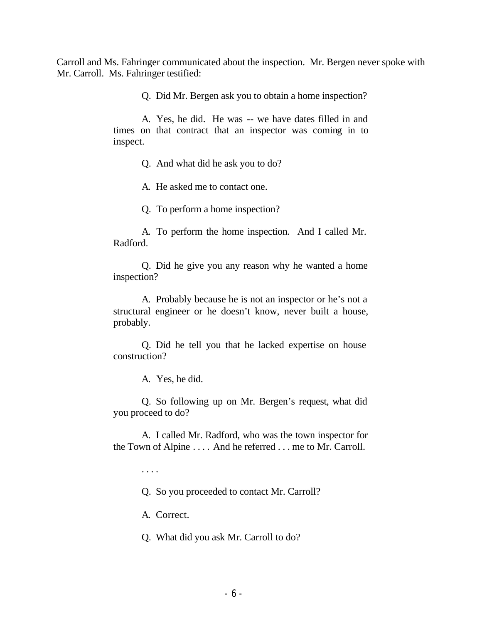Carroll and Ms. Fahringer communicated about the inspection. Mr. Bergen never spoke with Mr. Carroll. Ms. Fahringer testified:

Q. Did Mr. Bergen ask you to obtain a home inspection?

A. Yes, he did. He was -- we have dates filled in and times on that contract that an inspector was coming in to inspect.

Q. And what did he ask you to do?

A. He asked me to contact one.

Q. To perform a home inspection?

A. To perform the home inspection. And I called Mr. Radford.

Q. Did he give you any reason why he wanted a home inspection?

A. Probably because he is not an inspector or he's not a structural engineer or he doesn't know, never built a house, probably.

Q. Did he tell you that he lacked expertise on house construction?

A. Yes, he did.

Q. So following up on Mr. Bergen's request, what did you proceed to do?

A. I called Mr. Radford, who was the town inspector for the Town of Alpine . . . . And he referred . . . me to Mr. Carroll.

. . . .

Q. So you proceeded to contact Mr. Carroll?

A. Correct.

Q. What did you ask Mr. Carroll to do?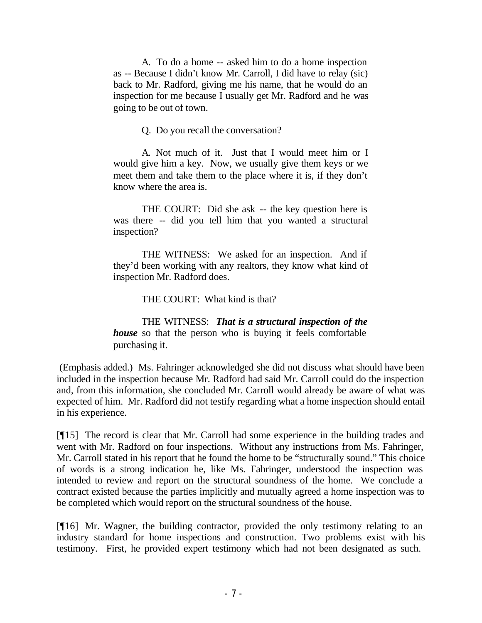A. To do a home -- asked him to do a home inspection as -- Because I didn't know Mr. Carroll, I did have to relay (sic) back to Mr. Radford, giving me his name, that he would do an inspection for me because I usually get Mr. Radford and he was going to be out of town.

Q. Do you recall the conversation?

A. Not much of it. Just that I would meet him or I would give him a key. Now, we usually give them keys or we meet them and take them to the place where it is, if they don't know where the area is.

THE COURT: Did she ask -- the key question here is was there -- did you tell him that you wanted a structural inspection?

THE WITNESS: We asked for an inspection. And if they'd been working with any realtors, they know what kind of inspection Mr. Radford does.

THE COURT: What kind is that?

THE WITNESS: *That is a structural inspection of the house* so that the person who is buying it feels comfortable purchasing it.

 (Emphasis added.) Ms. Fahringer acknowledged she did not discuss what should have been included in the inspection because Mr. Radford had said Mr. Carroll could do the inspection and, from this information, she concluded Mr. Carroll would already be aware of what was expected of him. Mr. Radford did not testify regarding what a home inspection should entail in his experience.

[¶15] The record is clear that Mr. Carroll had some experience in the building trades and went with Mr. Radford on four inspections. Without any instructions from Ms. Fahringer, Mr. Carroll stated in his report that he found the home to be "structurally sound." This choice of words is a strong indication he, like Ms. Fahringer, understood the inspection was intended to review and report on the structural soundness of the home. We conclude a contract existed because the parties implicitly and mutually agreed a home inspection was to be completed which would report on the structural soundness of the house.

[¶16] Mr. Wagner, the building contractor, provided the only testimony relating to an industry standard for home inspections and construction. Two problems exist with his testimony. First, he provided expert testimony which had not been designated as such.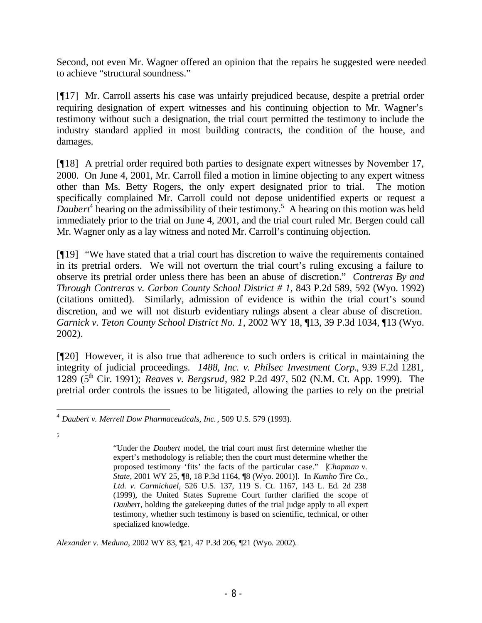Second, not even Mr. Wagner offered an opinion that the repairs he suggested were needed to achieve "structural soundness."

[¶17] Mr. Carroll asserts his case was unfairly prejudiced because, despite a pretrial order requiring designation of expert witnesses and his continuing objection to Mr. Wagner's testimony without such a designation, the trial court permitted the testimony to include the industry standard applied in most building contracts, the condition of the house, and damages.

[¶18] A pretrial order required both parties to designate expert witnesses by November 17, 2000. On June 4, 2001, Mr. Carroll filed a motion in limine objecting to any expert witness other than Ms. Betty Rogers, the only expert designated prior to trial. The motion specifically complained Mr. Carroll could not depose unidentified experts or request a Daubert<sup>4</sup> hearing on the admissibility of their testimony.<sup>5</sup> A hearing on this motion was held immediately prior to the trial on June 4, 2001, and the trial court ruled Mr. Bergen could call Mr. Wagner only as a lay witness and noted Mr. Carroll's continuing objection.

[¶19] "We have stated that a trial court has discretion to waive the requirements contained in its pretrial orders. We will not overturn the trial court's ruling excusing a failure to observe its pretrial order unless there has been an abuse of discretion." *Contreras By and Through Contreras v. Carbon County School District # 1*, 843 P.2d 589, 592 (Wyo. 1992) (citations omitted). Similarly, admission of evidence is within the trial court's sound discretion, and we will not disturb evidentiary rulings absent a clear abuse of discretion. *Garnick v. Teton County School District No. 1*, 2002 WY 18, ¶13, 39 P.3d 1034, ¶13 (Wyo. 2002).

[¶20] However, it is also true that adherence to such orders is critical in maintaining the integrity of judicial proceedings. *1488, Inc. v. Philsec Investment Corp.*, 939 F.2d 1281, 1289 (5th Cir. 1991); *Reaves v. Bergsrud*, 982 P.2d 497, 502 (N.M. Ct. App. 1999). The pretrial order controls the issues to be litigated, allowing the parties to rely on the pretrial

5

*Alexander v. Meduna*, 2002 WY 83, ¶21, 47 P.3d 206, ¶21 (Wyo. 2002).

<sup>4</sup> *Daubert v. Merrell Dow Pharmaceuticals, Inc.* , 509 U.S. 579 (1993).

<sup>&</sup>quot;Under the *Daubert* model, the trial court must first determine whether the expert's methodology is reliable; then the court must determine whether the proposed testimony 'fits' the facts of the particular case." [*Chapman v. State*, 2001 WY 25, ¶8, 18 P.3d 1164, ¶8 (Wyo. 2001)]. In *Kumho Tire Co., Ltd. v. Carmichael*, 526 U.S. 137, 119 S. Ct. 1167, 143 L. Ed. 2d 238 (1999), the United States Supreme Court further clarified the scope of *Daubert*, holding the gatekeeping duties of the trial judge apply to all expert testimony, whether such testimony is based on scientific, technical, or other specialized knowledge.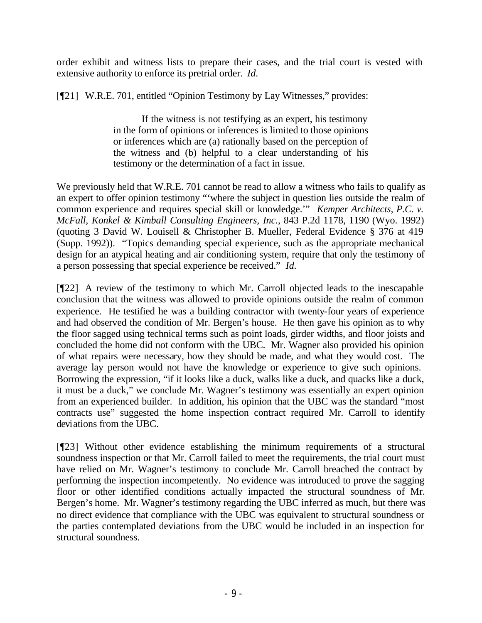order exhibit and witness lists to prepare their cases, and the trial court is vested with extensive authority to enforce its pretrial order. *Id.*

[¶21] W.R.E. 701, entitled "Opinion Testimony by Lay Witnesses," provides:

If the witness is not testifying as an expert, his testimony in the form of opinions or inferences is limited to those opinions or inferences which are (a) rationally based on the perception of the witness and (b) helpful to a clear understanding of his testimony or the determination of a fact in issue.

We previously held that W.R.E. 701 cannot be read to allow a witness who fails to qualify as an expert to offer opinion testimony "'where the subject in question lies outside the realm of common experience and requires special skill or knowledge.'" *Kemper Architects, P.C. v. McFall, Konkel & Kimball Consulting Engineers, Inc.*, 843 P.2d 1178, 1190 (Wyo. 1992) (quoting 3 David W. Louisell & Christopher B. Mueller, Federal Evidence § 376 at 419 (Supp. 1992)). "Topics demanding special experience, such as the appropriate mechanical design for an atypical heating and air conditioning system, require that only the testimony of a person possessing that special experience be received." *Id.*

[¶22] A review of the testimony to which Mr. Carroll objected leads to the inescapable conclusion that the witness was allowed to provide opinions outside the realm of common experience. He testified he was a building contractor with twenty-four years of experience and had observed the condition of Mr. Bergen's house. He then gave his opinion as to why the floor sagged using technical terms such as point loads, girder widths, and floor joists and concluded the home did not conform with the UBC. Mr. Wagner also provided his opinion of what repairs were necessary, how they should be made, and what they would cost. The average lay person would not have the knowledge or experience to give such opinions. Borrowing the expression, "if it looks like a duck, walks like a duck, and quacks like a duck, it must be a duck," we conclude Mr. Wagner's testimony was essentially an expert opinion from an experienced builder. In addition, his opinion that the UBC was the standard "most contracts use" suggested the home inspection contract required Mr. Carroll to identify deviations from the UBC.

[¶23] Without other evidence establishing the minimum requirements of a structural soundness inspection or that Mr. Carroll failed to meet the requirements, the trial court must have relied on Mr. Wagner's testimony to conclude Mr. Carroll breached the contract by performing the inspection incompetently. No evidence was introduced to prove the sagging floor or other identified conditions actually impacted the structural soundness of Mr. Bergen's home. Mr. Wagner's testimony regarding the UBC inferred as much, but there was no direct evidence that compliance with the UBC was equivalent to structural soundness or the parties contemplated deviations from the UBC would be included in an inspection for structural soundness.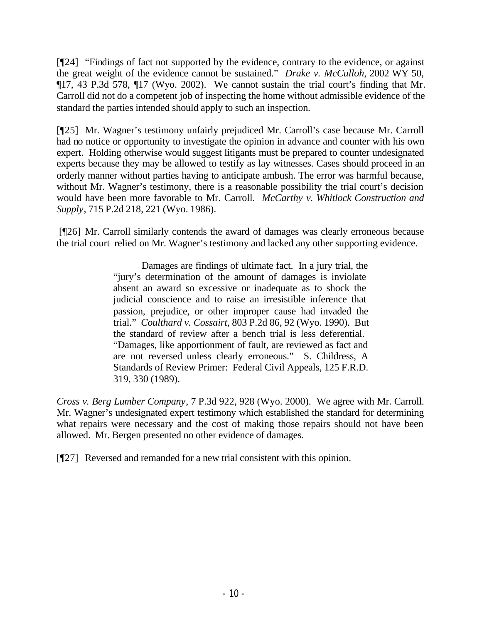[¶24] "Findings of fact not supported by the evidence, contrary to the evidence, or against the great weight of the evidence cannot be sustained." *Drake v. McCulloh*, 2002 WY 50, ¶17, 43 P.3d 578, ¶17 (Wyo. 2002). We cannot sustain the trial court's finding that Mr. Carroll did not do a competent job of inspecting the home without admissible evidence of the standard the parties intended should apply to such an inspection.

[¶25] Mr. Wagner's testimony unfairly prejudiced Mr. Carroll's case because Mr. Carroll had no notice or opportunity to investigate the opinion in advance and counter with his own expert. Holding otherwise would suggest litigants must be prepared to counter undesignated experts because they may be allowed to testify as lay witnesses. Cases should proceed in an orderly manner without parties having to anticipate ambush. The error was harmful because, without Mr. Wagner's testimony, there is a reasonable possibility the trial court's decision would have been more favorable to Mr. Carroll. *McCarthy v. Whitlock Construction and Supply*, 715 P.2d 218, 221 (Wyo. 1986).

 [¶26] Mr. Carroll similarly contends the award of damages was clearly erroneous because the trial court relied on Mr. Wagner's testimony and lacked any other supporting evidence.

> Damages are findings of ultimate fact. In a jury trial, the "jury's determination of the amount of damages is inviolate absent an award so excessive or inadequate as to shock the judicial conscience and to raise an irresistible inference that passion, prejudice, or other improper cause had invaded the trial." *Coulthard v. Cossairt*, 803 P.2d 86, 92 (Wyo. 1990). But the standard of review after a bench trial is less deferential. "Damages, like apportionment of fault, are reviewed as fact and are not reversed unless clearly erroneous." S. Childress, A Standards of Review Primer: Federal Civil Appeals, 125 F.R.D. 319, 330 (1989).

*Cross v. Berg Lumber Company*, 7 P.3d 922, 928 (Wyo. 2000). We agree with Mr. Carroll. Mr. Wagner's undesignated expert testimony which established the standard for determining what repairs were necessary and the cost of making those repairs should not have been allowed. Mr. Bergen presented no other evidence of damages.

[¶27] Reversed and remanded for a new trial consistent with this opinion.